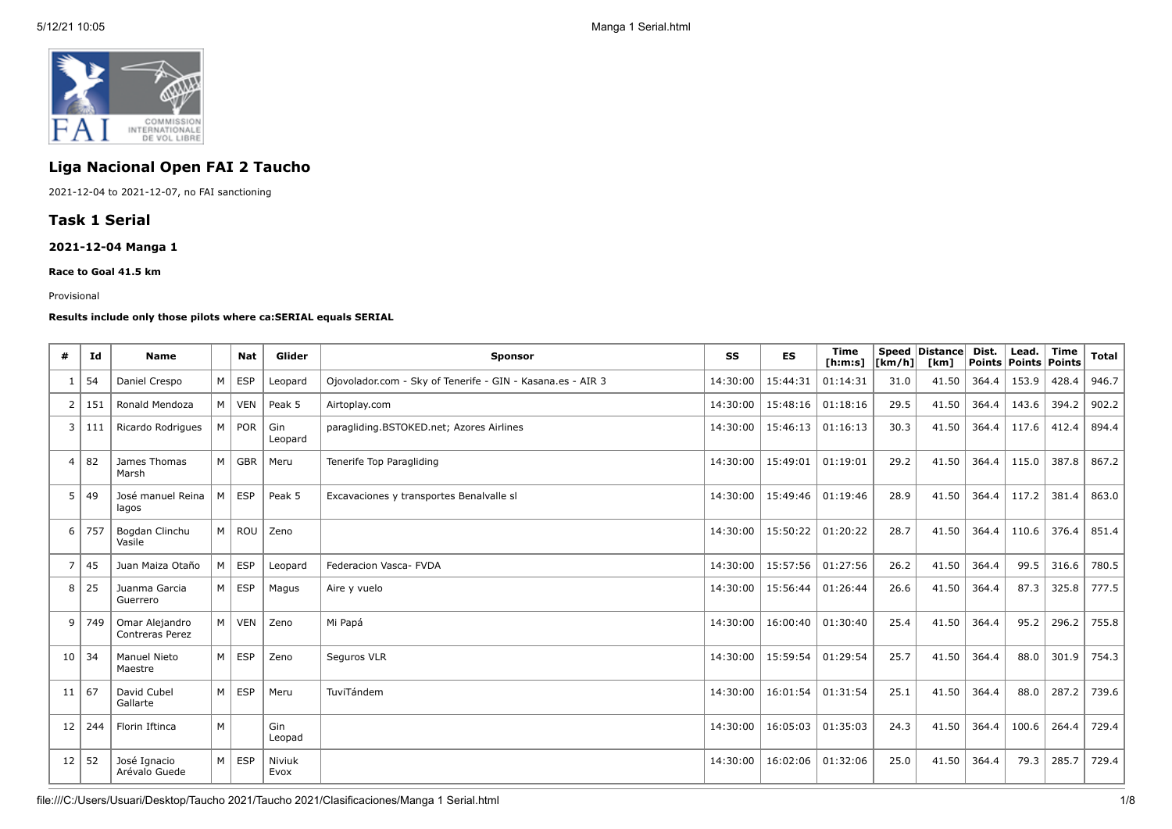

# **Liga Nacional Open FAI 2 Taucho**

2021-12-04 to 2021-12-07, no FAI sanctioning

## **Task 1 Serial**

## **2021-12-04 Manga 1**

#### **Race to Goal 41.5 km**

#### Provisional

#### **Results include only those pilots where ca:SERIAL equals SERIAL**

| #              | Id      | <b>Name</b>                              |   | <b>Nat</b>    | Glider         | <b>Sponsor</b>                                             | SS       | <b>ES</b> | <b>Time</b><br>[ <b>h</b> : <b>m</b> : <b>s</b> ] | $\lfloor \lfloor km/h \rfloor \rfloor$ | Speed   Distance  <br>[km] | Dist. | Lead.<br>  Points   Points   Points | <b>Time</b> | Total $ $ |
|----------------|---------|------------------------------------------|---|---------------|----------------|------------------------------------------------------------|----------|-----------|---------------------------------------------------|----------------------------------------|----------------------------|-------|-------------------------------------|-------------|-----------|
|                | 54      | Daniel Crespo                            | M | $ $ ESP       | Leopard        | Ojovolador.com - Sky of Tenerife - GIN - Kasana.es - AIR 3 | 14:30:00 | 15:44:31  | 01:14:31                                          | 31.0                                   | 41.50                      | 364.4 | 153.9                               | 428.4       | 946.7     |
| 2              | 151     | Ronald Mendoza                           |   | M VEN         | Peak 5         | Airtoplay.com                                              | 14:30:00 | 15:48:16  | 01:18:16                                          | 29.5                                   | 41.50                      | 364.4 | 143.6                               | 394.2       | 902.2     |
| 3              | 111     | Ricardo Rodrigues                        |   | M POR         | Gin<br>Leopard | paragliding.BSTOKED.net; Azores Airlines                   | 14:30:00 | 15:46:13  | 01:16:13                                          | 30.3                                   | 41.50                      | 364.4 | 117.6                               | 412.4       | 894.4     |
| $\overline{4}$ | 82      | James Thomas<br>Marsh                    |   | M GBR         | Meru           | Tenerife Top Paragliding                                   | 14:30:00 | 15:49:01  | 01:19:01                                          | 29.2                                   | 41.50                      | 364.4 | 115.0                               | 387.8       | 867.2     |
| 5              | 49      | José manuel Reina<br>lagos               | M | <b>ESP</b>    | Peak 5         | Excavaciones y transportes Benalvalle sl                   | 14:30:00 | 15:49:46  | 01:19:46                                          | 28.9                                   | 41.50                      | 364.4 | 117.2                               | 381.4       | 863.0     |
| 6              | 757     | Bogdan Clinchu<br>Vasile                 |   | M   ROU       | Zeno           |                                                            | 14:30:00 | 15:50:22  | 01:20:22                                          | 28.7                                   | 41.50                      | 364.4 | 110.6                               | 376.4       | 851.4     |
| 7              | 45      | Juan Maiza Otaño                         | M | ∣ ESP         | Leopard        | Federacion Vasca- FVDA                                     | 14:30:00 | 15:57:56  | 01:27:56                                          | 26.2                                   | 41.50                      | 364.4 | 99.5                                | 316.6       | 780.5     |
| 8              | 25      | Juanma Garcia<br>Guerrero                |   | $M \vert$ ESP | Magus          | Aire y vuelo                                               | 14:30:00 | 15:56:44  | 01:26:44                                          | 26.6                                   | 41.50                      | 364.4 | 87.3                                | 325.8       | 777.5     |
| 9              | 749     | Omar Alejandro<br><b>Contreras Perez</b> |   | M   VEN       | Zeno           | Mi Papá                                                    | 14:30:00 | 16:00:40  | 01:30:40                                          | 25.4                                   | 41.50                      | 364.4 | 95.2                                | 296.2       | 755.8     |
| 10             | 34      | <b>Manuel Nieto</b><br>Maestre           |   | $M \mid ESP$  | Zeno           | Seguros VLR                                                | 14:30:00 | 15:59:54  | 01:29:54                                          | 25.7                                   | 41.50                      | 364.4 | 88.0                                | 301.9       | 754.3     |
| 11             | 67      | David Cubel<br>Gallarte                  |   | $M \mid ESP$  | Meru           | TuviTándem                                                 | 14:30:00 | 16:01:54  | 01:31:54                                          | 25.1                                   | 41.50                      | 364.4 | 88.0                                | 287.2       | 739.6     |
| 12             | 244     | Florin Iftinca                           | M |               | Gin<br>Leopad  |                                                            | 14:30:00 | 16:05:03  | 01:35:03                                          | 24.3                                   | 41.50                      | 364.4 | 100.6                               | 264.4       | 729.4     |
|                | $12$ 52 | José Ignacio<br>Arévalo Guede            |   | $M \vert$ ESP | Niviuk<br>Evox | 14:30:00                                                   |          | 16:02:06  | 01:32:06                                          | 25.0                                   | 41.50                      | 364.4 | 79.3                                | 285.7       | 729.4     |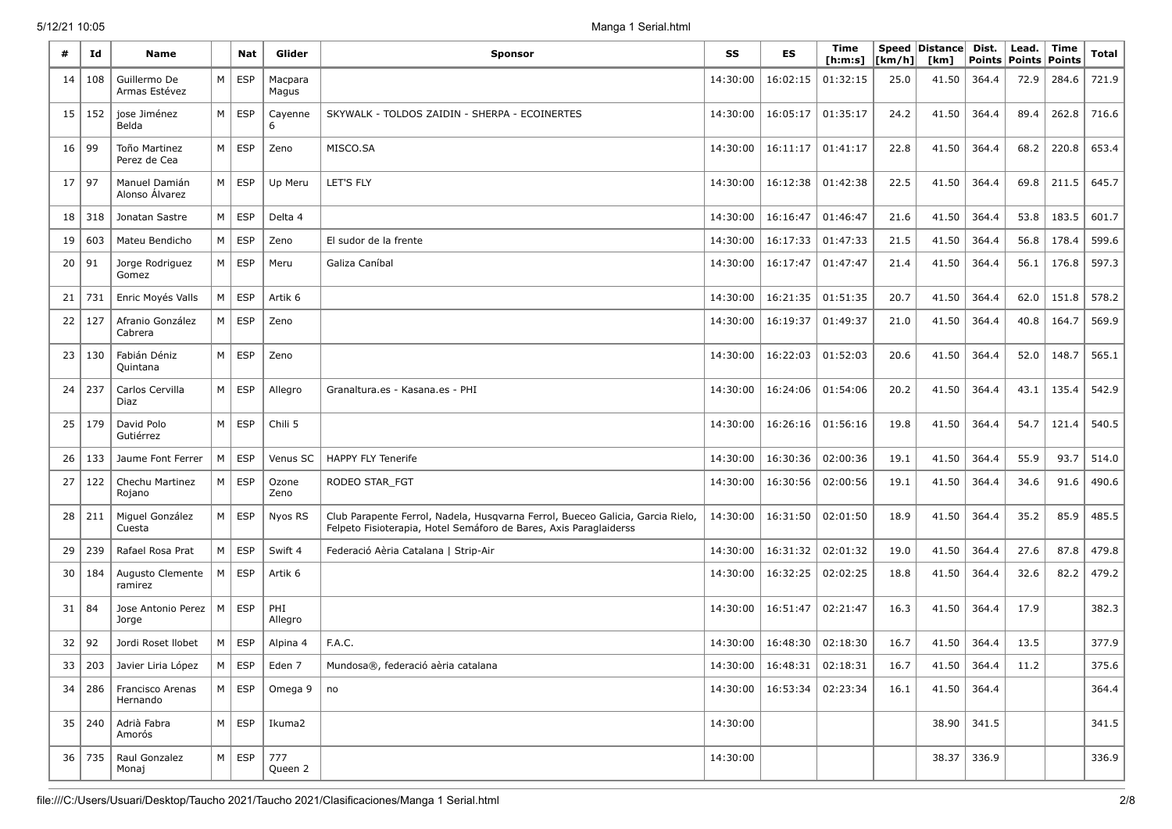| #  | Id     | Name                                    |   | <b>Nat</b>    | Glider                                      | <b>Sponsor</b>                                                                                                                                      |          | <b>ES</b>                      | Time<br>[ h: m: s] | [km/h] | Speed Distance<br>[km] | Dist.<br><b>Points</b> | Lead.<br><b>Points</b> | Time<br><b>Points</b> | Total |
|----|--------|-----------------------------------------|---|---------------|---------------------------------------------|-----------------------------------------------------------------------------------------------------------------------------------------------------|----------|--------------------------------|--------------------|--------|------------------------|------------------------|------------------------|-----------------------|-------|
| 14 | 108    | Guillermo De<br>Armas Estévez           | M | ESP           | Macpara<br>Magus                            |                                                                                                                                                     | 14:30:00 | 16:02:15                       | 01:32:15           | 25.0   | 41.50                  | 364.4                  | 72.9                   | 284.6                 | 721.9 |
| 15 | 152    | jose Jiménez<br>Belda                   | M | <b>ESP</b>    | Cayenne<br>6                                | SKYWALK - TOLDOS ZAIDIN - SHERPA - ECOINERTES                                                                                                       | 14:30:00 | 16:05:17                       | 01:35:17           | 24.2   | 41.50                  | 364.4                  | 89.4                   | 262.8                 | 716.6 |
| 16 | 99     | Toño Martinez<br>Perez de Cea           | M | <b>ESP</b>    | Zeno                                        | MISCO.SA                                                                                                                                            | 14:30:00 | 16:11:17                       | 01:41:17           | 22.8   | 41.50                  | 364.4                  | 68.2                   | 220.8                 | 653.4 |
| 17 | 97     | Manuel Damián<br>Alonso Álvarez         | M | <b>ESP</b>    | Up Meru                                     | LET'S FLY                                                                                                                                           | 14:30:00 | 16:12:38                       | 01:42:38           | 22.5   | 41.50                  | 364.4                  | 69.8                   | 211.5                 | 645.7 |
| 18 | 318    | Jonatan Sastre                          | М | <b>ESP</b>    | Delta 4                                     |                                                                                                                                                     | 14:30:00 | 16:16:47                       | 01:46:47           | 21.6   | 41.50                  | 364.4                  | 53.8                   | 183.5                 | 601.7 |
| 19 | 603    | Mateu Bendicho                          | M | <b>ESP</b>    | Zeno                                        | El sudor de la frente                                                                                                                               | 14:30:00 | 16:17:33                       | 01:47:33           | 21.5   | 41.50                  | 364.4                  | 56.8                   | 178.4                 | 599.6 |
| 20 | 91     | Jorge Rodriguez<br>Gomez                | M | <b>ESP</b>    | Meru                                        | Galiza Caníbal                                                                                                                                      | 14:30:00 | 16:17:47                       | 01:47:47           | 21.4   | 41.50                  | 364.4                  | 56.1                   | 176.8                 | 597.3 |
| 21 | 731    | Enric Moyés Valls                       | М | <b>ESP</b>    | Artik 6                                     |                                                                                                                                                     | 14:30:00 | 16:21:35                       | 01:51:35           | 20.7   | 41.50                  | 364.4                  | 62.0                   | 151.8                 | 578.2 |
| 22 | 127    | Afranio González<br>Cabrera             | M | ESP           | Zeno                                        |                                                                                                                                                     | 14:30:00 | 16:19:37                       | 01:49:37           | 21.0   | 41.50                  | 364.4                  | 40.8                   | 164.7                 | 569.9 |
| 23 | 130    | Fabián Déniz<br>Quintana                | M | ESP           | Zeno                                        |                                                                                                                                                     | 14:30:00 | 16:22:03                       | 01:52:03           | 20.6   | 41.50                  | 364.4                  | 52.0                   | 148.7                 | 565.1 |
| 24 | 237    | Carlos Cervilla<br>Diaz                 | M | <b>ESP</b>    | Allegro                                     | Granaltura.es - Kasana.es - PHI                                                                                                                     | 14:30:00 | 16:24:06                       | 01:54:06           | 20.2   | 41.50                  | 364.4                  | 43.1                   | 135.4                 | 542.9 |
| 25 | 179    | David Polo<br>Gutiérrez                 | M | ESP           | Chili 5                                     |                                                                                                                                                     | 14:30:00 | 16:26:16                       | 01:56:16           | 19.8   | 41.50                  | 364.4                  | 54.7                   | 121.4                 | 540.5 |
| 26 | 133    | Jaume Font Ferrer                       | M | <b>ESP</b>    | Venus SC                                    | <b>HAPPY FLY Tenerife</b>                                                                                                                           | 14:30:00 | 16:30:36                       | 02:00:36           | 19.1   | 41.50                  | 364.4                  | 55.9                   | 93.7                  | 514.0 |
| 27 | 122    | Chechu Martinez<br>Rojano               | M | <b>ESP</b>    | Ozone<br>Zeno                               | RODEO STAR_FGT                                                                                                                                      | 14:30:00 | 16:30:56                       | 02:00:56           | 19.1   | 41.50                  | 364.4                  | 34.6                   | 91.6                  | 490.6 |
| 28 | 211    | Miguel González<br>Cuesta               | M | <b>ESP</b>    | Nyos RS                                     | Club Parapente Ferrol, Nadela, Husqvarna Ferrol, Bueceo Galicia, Garcia Rielo,<br>Felpeto Fisioterapia, Hotel Semáforo de Bares, Axis Paraglaiderss | 14:30:00 | 16:31:50                       | 02:01:50           | 18.9   | 41.50                  | 364.4                  | 35.2                   | 85.9                  | 485.5 |
| 29 | 239    | Rafael Rosa Prat                        | M | ESP           | Swift 4                                     | Federació Aèria Catalana   Strip-Air                                                                                                                | 14:30:00 | 16:31:32                       | 02:01:32           | 19.0   | 41.50                  | 364.4                  | 27.6                   | 87.8                  | 479.8 |
| 30 | 184    | Augusto Clemente<br>ramirez             | M | <b>ESP</b>    | Artik 6                                     |                                                                                                                                                     | 14:30:00 | 16:32:25                       | 02:02:25           | 18.8   | 41.50                  | 364.4                  | 32.6                   | 82.2                  | 479.2 |
| 31 | 84     | Jose Antonio Perez   M<br>Jorge         |   | <b>ESP</b>    | PHI<br>Allegro                              |                                                                                                                                                     | 14:30:00 | 16:51:47                       | 02:21:47           | 16.3   | 41.50                  | 364.4                  | 17.9                   |                       | 382.3 |
| 32 | 92     | Jordi Roset Ilobet                      | M | <b>ESP</b>    | Alpina 4                                    | F.A.C.                                                                                                                                              | 14:30:00 | 16:48:30                       | 02:18:30           | 16.7   | 41.50                  | 364.4                  | 13.5                   |                       | 377.9 |
| 33 |        | 203 Javier Liria López                  |   | $M \vert$ ESP | Eden 7                                      | Mundosa®, federació aèria catalana                                                                                                                  |          | 14:30:00   16:48:31   02:18:31 |                    | 16.7   | 41.50 364.4            |                        | 11.2                   |                       | 375.6 |
|    |        | 34   286   Francisco Arenas<br>Hernando |   |               | $M \, \vert$ ESP $\vert$ Omega 9 $\vert$ no |                                                                                                                                                     |          | 14:30:00   16:53:34   02:23:34 |                    | 16.1   | $41.50$ 364.4          |                        |                        |                       | 364.4 |
|    |        | 35   240   Adrià Fabra<br>Amorós        |   |               | $M \, \vert$ ESP   Ikuma2                   |                                                                                                                                                     | 14:30:00 |                                |                    |        | $38.90$ 341.5          |                        |                        |                       | 341.5 |
|    | 36 735 | Raul Gonzalez<br>Monaj                  |   |               | $M \, \text{ESP} \, \mid 777$<br>Queen 2    |                                                                                                                                                     | 14:30:00 |                                |                    |        | $38.37$ 336.9          |                        |                        |                       | 336.9 |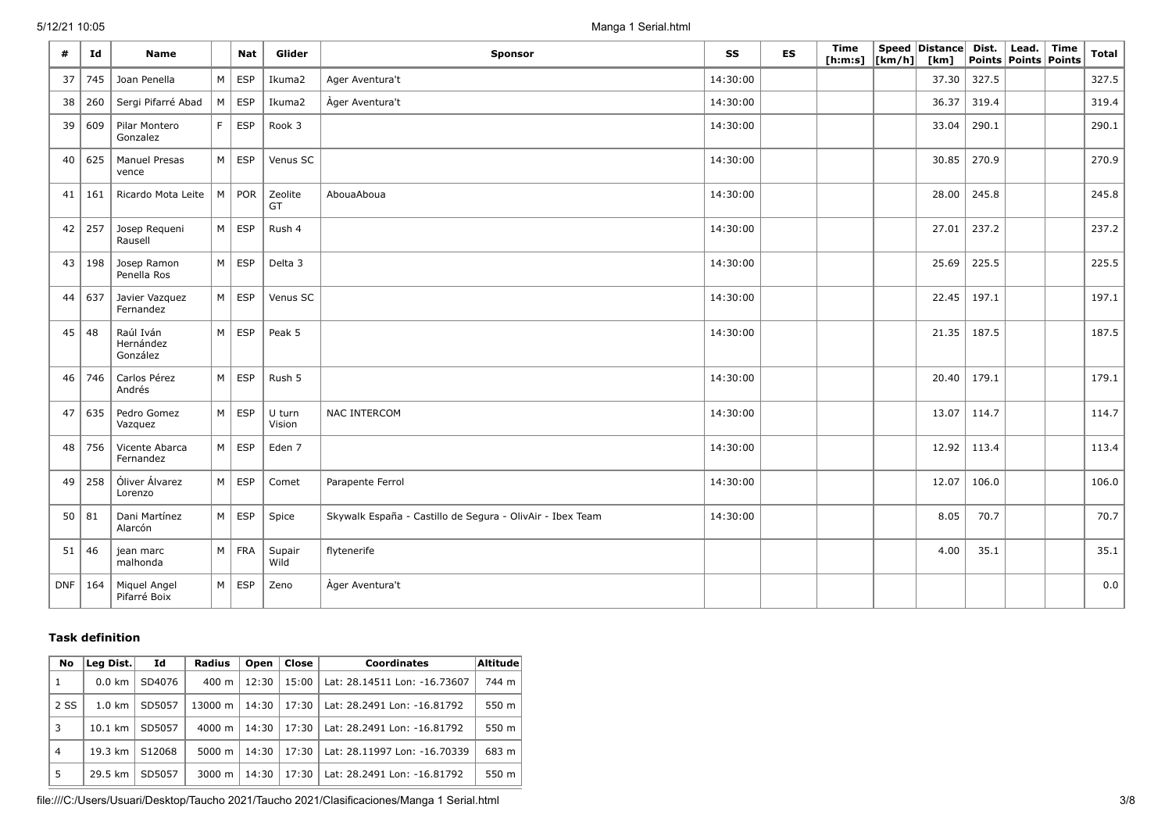| #               | Id      | <b>Name</b>                        |   | <b>Nat</b>    | Glider           | <b>Sponsor</b>                                                        |          | <b>ES</b> | Time<br>[ <b>h</b> : <b>m</b> : <b>s</b> ] | $\lfloor \lfloor km/h \rfloor \rfloor$ | Speed Distance<br>[km] | Dist. | Lead.<br>Points   Points   Points | Time | <b>Total</b> |
|-----------------|---------|------------------------------------|---|---------------|------------------|-----------------------------------------------------------------------|----------|-----------|--------------------------------------------|----------------------------------------|------------------------|-------|-----------------------------------|------|--------------|
| 37              | 745     | Joan Penella                       | M | ESP           | Ikuma2           | Ager Aventura't                                                       | 14:30:00 |           |                                            |                                        | 37.30                  | 327.5 |                                   |      | 327.5        |
| 38              | 260     | Sergi Pifarré Abad                 |   | $M \vert$ ESP | Ikuma2           | Ager Aventura't                                                       | 14:30:00 |           |                                            |                                        | 36.37                  | 319.4 |                                   |      | 319.4        |
| 39              | 609     | Pilar Montero<br>Gonzalez          | F | ESP           | Rook 3           |                                                                       | 14:30:00 |           |                                            |                                        | 33.04                  | 290.1 |                                   |      | 290.1        |
| 40              | 625     | <b>Manuel Presas</b><br>vence      |   | $M \vert$ ESP | Venus SC         |                                                                       | 14:30:00 |           |                                            |                                        | 30.85                  | 270.9 |                                   |      | 270.9        |
| 41              | 161     | Ricardo Mota Leite                 | M | POR           | Zeolite<br>GT    | AbouaAboua                                                            | 14:30:00 |           |                                            |                                        | 28.00                  | 245.8 |                                   |      | 245.8        |
| 42              | 257     | Josep Requeni<br>Rausell           |   | $M \vert$ ESP | Rush 4           |                                                                       | 14:30:00 |           |                                            |                                        | 27.01                  | 237.2 |                                   |      | 237.2        |
| 43              | 198     | Josep Ramon<br>Penella Ros         |   | $M \vert$ ESP | Delta 3          |                                                                       | 14:30:00 |           |                                            |                                        | 25.69                  | 225.5 |                                   |      | 225.5        |
| 44              | 637     | Javier Vazquez<br>Fernandez        |   | $M \vert$ ESP | Venus SC         |                                                                       | 14:30:00 |           |                                            |                                        | 22.45                  | 197.1 |                                   |      | 197.1        |
| 45              | 48      | Raúl Iván<br>Hernández<br>González |   | $M \vert$ ESP | Peak 5           |                                                                       | 14:30:00 |           |                                            |                                        | 21.35                  | 187.5 |                                   |      | 187.5        |
| 46              | 746     | Carlos Pérez<br>Andrés             |   | $M \vert$ ESP | Rush 5           |                                                                       | 14:30:00 |           |                                            |                                        | 20.40                  | 179.1 |                                   |      | 179.1        |
| 47              | 635     | Pedro Gomez<br>Vazquez             |   | $M \vert$ ESP | U turn<br>Vision | NAC INTERCOM                                                          | 14:30:00 |           |                                            |                                        | 13.07                  | 114.7 |                                   |      | 114.7        |
| 48              | 756     | Vicente Abarca<br>Fernandez        |   | $M \vert$ ESP | Eden 7           |                                                                       | 14:30:00 |           |                                            |                                        | 12.92                  | 113.4 |                                   |      | 113.4        |
| 49 <sup>°</sup> | 258     | Óliver Álvarez<br>Lorenzo          |   | $M \vert$ ESP | Comet            | Parapente Ferrol                                                      | 14:30:00 |           |                                            |                                        | 12.07                  | 106.0 |                                   |      | 106.0        |
|                 | $50$ 81 | Dani Martínez<br>Alarcón           |   | $M \vert$ ESP | Spice            | 14:30:00<br>Skywalk España - Castillo de Segura - OlivAir - Ibex Team |          |           |                                            |                                        | 8.05                   | 70.7  |                                   |      | 70.7         |
|                 | 51 46   | jean marc<br>malhonda              |   | $M$ FRA       | Supair<br>Wild   | flytenerife                                                           |          |           |                                            |                                        | 4.00                   | 35.1  |                                   |      | 35.1         |
| <b>DNF</b>      | 164     | Miquel Angel<br>Pifarré Boix       |   | $M \vert$ ESP | Zeno             | Àger Aventura't                                                       |          |           |                                            |                                        |                        |       |                                   |      | 0.0          |

## **Task definition**

| No   | Leg Dist.         | Id     | <b>Radius</b>      | Open  | Close | <b>Coordinates</b>           | Altitude |
|------|-------------------|--------|--------------------|-------|-------|------------------------------|----------|
| 1    | $0.0 \text{ km}$  | SD4076 | $400 \text{ m}$    | 12:30 | 15:00 | Lat: 28.14511 Lon: -16.73607 | 744 m    |
| 2 SS | $1.0 \text{ km}$  | SD5057 | 13000 m            | 14:30 | 17:30 | Lat: 28.2491 Lon: -16.81792  | 550 m    |
| 3    | $10.1 \text{ km}$ | SD5057 | $4000 \; \text{m}$ | 14:30 | 17:30 | Lat: 28.2491 Lon: -16.81792  | 550 m    |
| 4    | 19.3 km           | S12068 | 5000 m             | 14:30 | 17:30 | Lat: 28.11997 Lon: -16.70339 | 683 m    |
| 5    | 29.5 km           | SD5057 | $3000 \; \text{m}$ | 14:30 | 17:30 | Lat: 28.2491 Lon: -16.81792  | 550 m    |

file:///C:/Users/Usuari/Desktop/Taucho 2021/Taucho 2021/Clasificaciones/Manga 1 Serial.html 3/8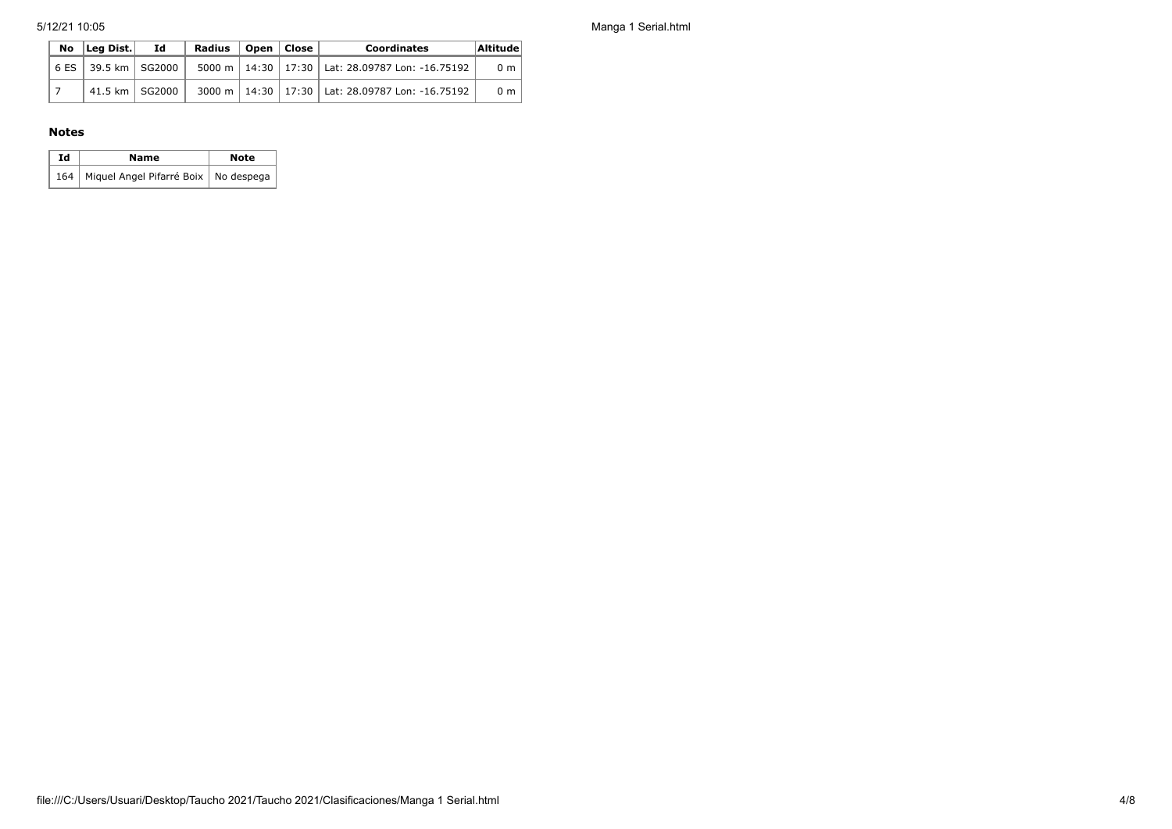5/12/21 10:05 Manga 1 Serial.html

|  | No lLea Dist.l          | - Id | Radius | Open   Close | <b>Coordinates</b>                                    | Altitude       |
|--|-------------------------|------|--------|--------------|-------------------------------------------------------|----------------|
|  | 6 ES   39.5 km   SG2000 |      |        |              | 5000 m   14:30   17:30   Lat: 28.09787 Lon: -16.75192 | 0 <sub>m</sub> |
|  | 41.5 km   SG2000        |      |        |              | 3000 m   14:30   17:30   Lat: 28.09787 Lon: -16.75192 | 0 <sub>m</sub> |

## **Notes**

| Ιd | Name                                         | <b>Note</b> |
|----|----------------------------------------------|-------------|
|    | 164   Miquel Angel Pifarré Boix   No despega |             |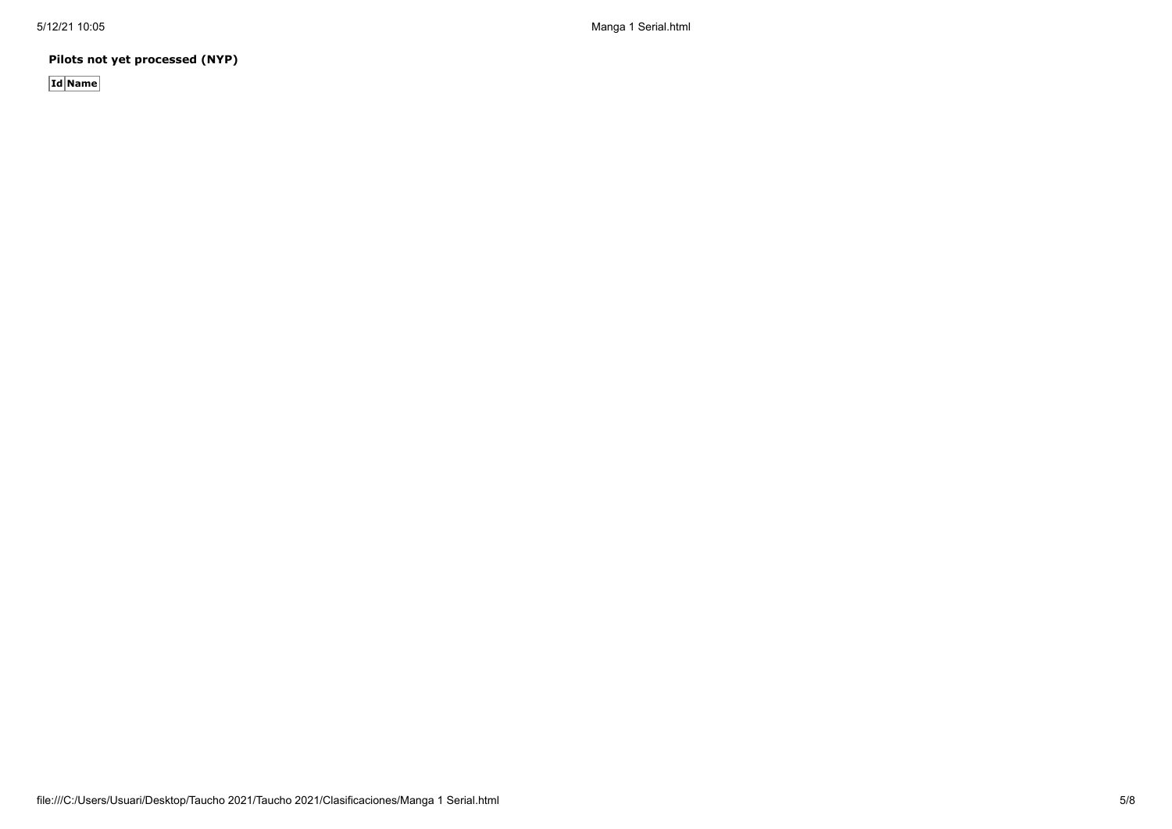5/12/21 10:05 Manga 1 Serial.html

**Pilots not yet processed (NYP)**

**Id Name**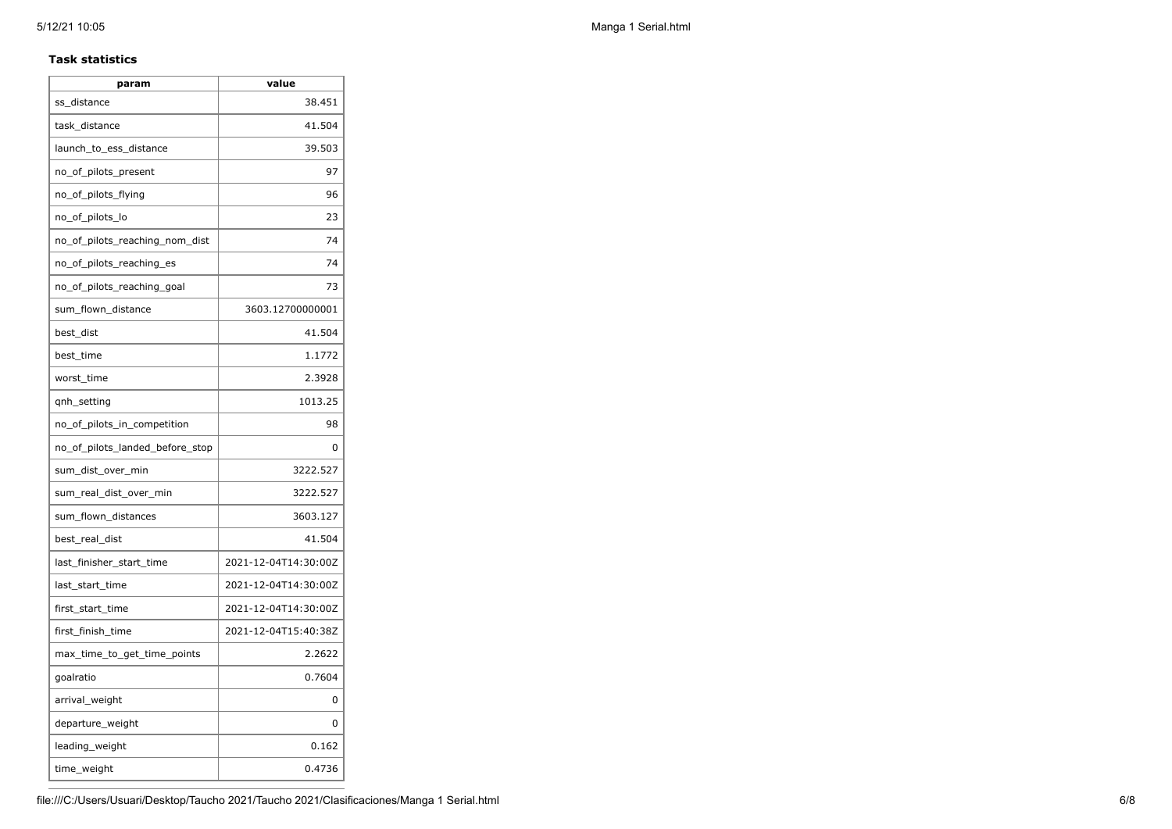#### **Task statistics**

| param                           | value                |
|---------------------------------|----------------------|
| ss distance                     | 38.451               |
| task distance                   | 41.504               |
| launch_to_ess_distance          | 39.503               |
| no_of_pilots_present            | 97                   |
| no_of_pilots_flying             | 96                   |
| no_of_pilots_lo                 | 23                   |
| no_of_pilots_reaching_nom_dist  | 74                   |
| no_of_pilots_reaching_es        | 74                   |
| no_of_pilots_reaching_goal      | 73                   |
| sum_flown_distance              | 3603.12700000001     |
| best dist                       | 41.504               |
| best time                       | 1.1772               |
| worst_time                      | 2.3928               |
| qnh_setting                     | 1013.25              |
| no_of_pilots_in_competition     | 98                   |
| no of pilots landed before stop | 0                    |
| sum_dist_over_min               | 3222.527             |
| sum_real_dist_over_min          | 3222.527             |
| sum_flown_distances             | 3603.127             |
| best_real_dist                  | 41.504               |
| last_finisher_start_time        | 2021-12-04T14:30:00Z |
| last_start_time                 | 2021-12-04T14:30:00Z |
| first_start_time                | 2021-12-04T14:30:00Z |
| first_finish_time               | 2021-12-04T15:40:38Z |
| max_time_to_get_time_points     | 2.2622               |
| goalratio                       | 0.7604               |
| arrival_weight                  | 0                    |
| departure_weight                | 0                    |
| leading_weight                  | 0.162                |
| time_weight                     | 0.4736               |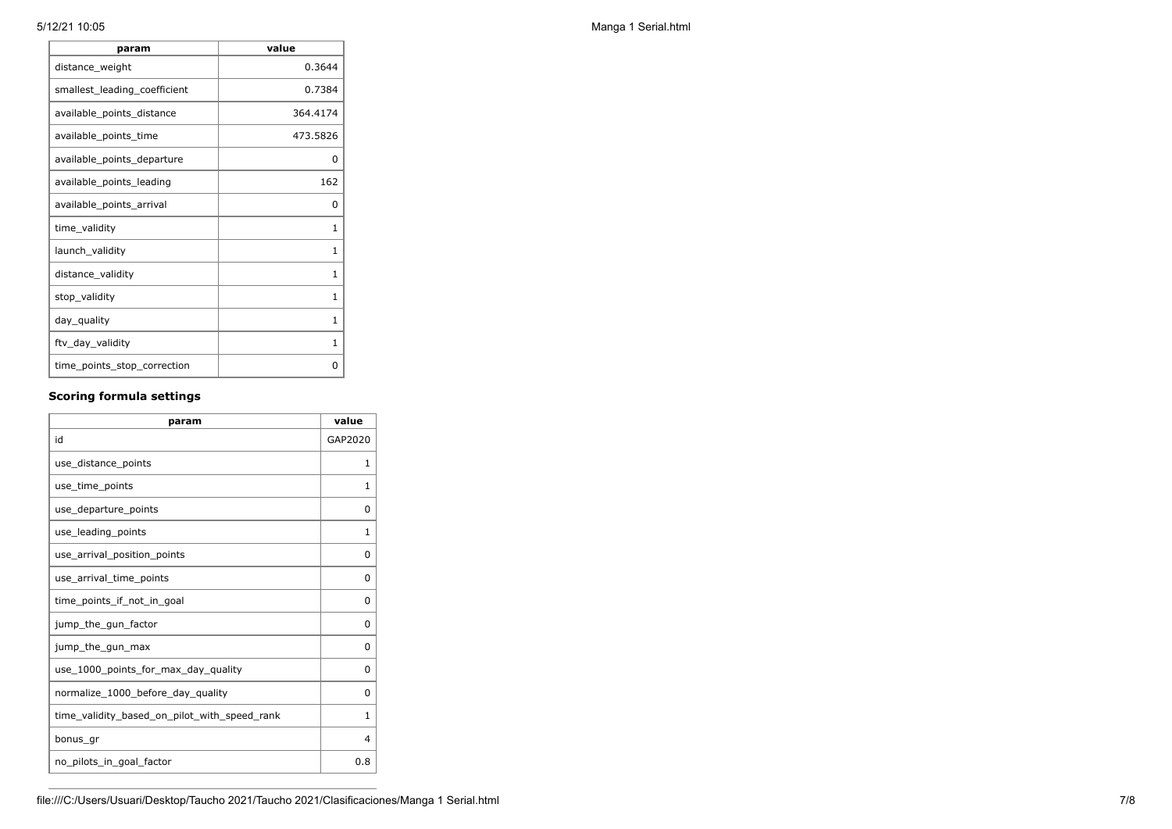| param                        | value        |
|------------------------------|--------------|
| distance_weight              | 0.3644       |
| smallest_leading_coefficient | 0.7384       |
| available_points_distance    | 364.4174     |
| available_points_time        | 473.5826     |
| available_points_departure   | 0            |
| available_points_leading     | 162          |
| available_points_arrival     | 0            |
| time_validity                | 1            |
| launch_validity              | 1            |
| distance_validity            | $\mathbf{1}$ |
| stop_validity                | 1            |
| day_quality                  | $\mathbf{1}$ |
| ftv_day_validity             | 1            |
| time_points_stop_correction  | 0            |

## **Scoring formula settings**

| param                                        | value    |
|----------------------------------------------|----------|
| id                                           | GAP2020  |
| use_distance_points                          | 1        |
| use time points                              | 1        |
| use_departure_points                         | 0        |
| use_leading_points                           | 1        |
| use arrival position points                  | 0        |
| use arrival time points                      | 0        |
| time_points_if_not_in_goal                   | 0        |
| jump_the_gun_factor                          | $\Omega$ |
| jump_the_gun_max                             | 0        |
| use_1000_points_for_max_day_quality          | $\Omega$ |
| normalize_1000_before_day_quality            | 0        |
| time_validity_based_on_pilot_with_speed_rank | 1        |
| bonus gr                                     | 4        |
| no pilots in goal factor                     | 0.8      |